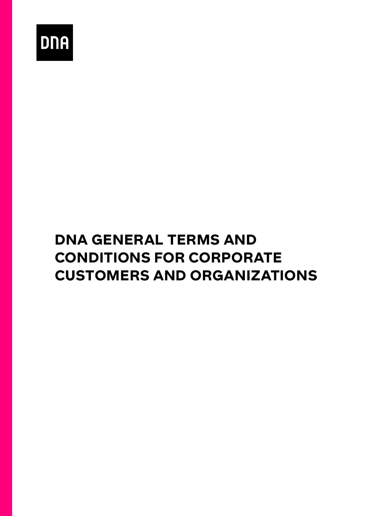

# DNA GENERAL TERMS AND CONDITIONS FOR CORPORATE CUSTOMERS AND ORGANIZATIONS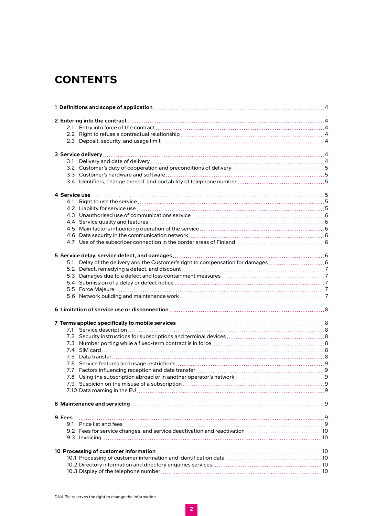# **CONTENTS**

| 5.1    |  |
|--------|--|
|        |  |
|        |  |
|        |  |
|        |  |
|        |  |
|        |  |
|        |  |
|        |  |
|        |  |
|        |  |
|        |  |
|        |  |
|        |  |
|        |  |
|        |  |
|        |  |
|        |  |
|        |  |
|        |  |
|        |  |
|        |  |
| 9 Fees |  |
|        |  |
|        |  |
|        |  |
|        |  |
|        |  |
|        |  |
|        |  |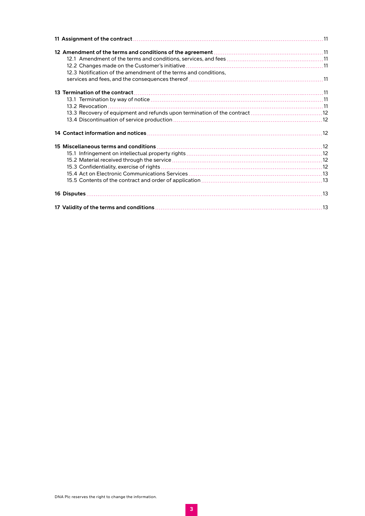| 12.3 Notification of the amendment of the terms and conditions, |  |
|-----------------------------------------------------------------|--|
|                                                                 |  |
|                                                                 |  |
|                                                                 |  |
|                                                                 |  |
|                                                                 |  |
|                                                                 |  |
|                                                                 |  |
|                                                                 |  |
|                                                                 |  |
|                                                                 |  |
|                                                                 |  |
|                                                                 |  |
|                                                                 |  |
|                                                                 |  |
|                                                                 |  |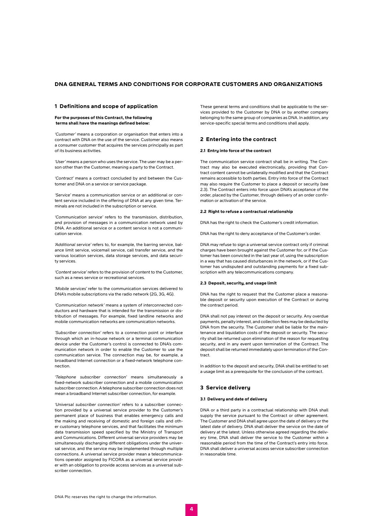# <span id="page-3-0"></span>DNA GENERAL TERMS AND CONDITIONS FOR CORPORATE CUSTOMERS AND ORGANIZATIONS

#### 1 Definitions and scope of application

For the purposes of this Contract, the following terms shall have the meanings defined below:

*'Customer'* means a corporation or organisation that enters into a contract with DNA on the use of the service. Customer also means a consumer customer that acquires the services principally as part of its business activities.

*'User'* means a person who uses the service. The user may be a person other than the Customer, meaning a party to the Contract.

*'Contract'* means a contract concluded by and between the Customer and DNA on a service or service package.

*'Service'* means a communication service or an additional or content service included in the offering of DNA at any given time. Terminals are not included in the subscription or service.

*'Communication service'* refers to the transmission, distribution, and provision of messages in a communication network used by DNA. An additional service or a content service is not a communication service.

*'Additional service'* refers to, for example, the barring service, balance limit service, voicemail service, call transfer service, and the various location services, data storage services, and data security services.

*'Content service'* refers to the provision of content to the Customer, such as a news service or recreational services.

*'Mobile services'* refer to the communication services delivered to DNA's mobile subscriptions via the radio network (2G, 3G, 4G).

*'Communication network'* means a system of interconnected conductors and hardware that is intended for the transmission or distribution of messages. For example, fixed landline networks and mobile communication networks are communication networks.

*'Subscriber connection'* refers to a connection point or interface through which an in-house network or a terminal communication device under the Customer's control is connected to DNA's communication network in order to enable the Customer to use the communication service. The connection may be, for example, a broadband Internet connection or a fixed-network telephone connection.

*'Telephone subscriber connection'* means simultaneously a fixed-network subscriber connection and a mobile communication subscriber connection. A telephone subscriber connection does not mean a broadband Internet subscriber connection, for example.

*'Universal subscriber connection'* refers to a subscriber connection provided by a universal service provider to the Customer's permanent place of business that enables emergency calls and the making and receiving of domestic and foreign calls and other customary telephone services, and that facilitates the minimum data transmission speed specified by the Ministry of Transport and Communications. Different universal service providers may be simultaneously discharging different obligations under the universal service, and the service may be implemented through multiple connections. A universal service provider mean a telecommunications operator assigned by FICORA as a universal service provider with an obligation to provide access services as a universal subscriber connection.

These general terms and conditions shall be applicable to the services provided to the Customer by DNA or by another company belonging to the same group of companies as DNA. In addition, any service-specific special terms and conditions shall apply.

# 2 Entering into the contract

# 2.1 Entry into force of the contract

The communication service contract shall be in writing. The Contract may also be executed electronically, providing that Contract content cannot be unilaterally modified and that the Contract remains accessible to both parties. Entry into force of the Contract may also require the Customer to place a deposit or security (see 2.3). The Contract enters into force upon DNA's acceptance of the order, placed by the Customer, through delivery of an order confirmation or activation of the service.

#### 2.2 Right to refuse a contractual relationship

DNA has the right to check the Customer's credit information.

DNA has the right to deny acceptance of the Customer's order.

DNA may refuse to sign a universal service contract only if criminal charges have been brought against the Customer for, or if the Customer has been convicted in the last year of, using the subscription in a way that has caused disturbances in the network, or if the Customer has undisputed and outstanding payments for a fixed subscription with any telecommunications company.

#### 2.3 Deposit, security, and usage limit

DNA has the right to request that the Customer place a reasonable deposit or security upon execution of the Contract or during the contract period.

DNA shall not pay interest on the deposit or security. Any overdue payments, penalty interest, and collection fees may be deducted by DNA from the security. The Customer shall be liable for the maintenance and liquidation costs of the deposit or security. The security shall be returned upon elimination of the reason for requesting security, and in any event upon termination of the Contract. The deposit shall be returned immediately upon termination of the Contract.

In addition to the deposit and security, DNA shall be entitled to set a usage limit as a prerequisite for the conclusion of the contract.

# 3 Service delivery

#### 3.1 Delivery and date of delivery

DNA or a third party in a contractual relationship with DNA shall supply the service pursuant to the Contract or other agreement. The Customer and DNA shall agree upon the date of delivery or the latest date of delivery. DNA shall deliver the service on the date of delivery at the latest. Unless otherwise agreed regarding the delivery time, DNA shall deliver the service to the Customer within a reasonable period from the time of the Contract's entry into force. DNA shall deliver a universal access service subscriber connection in reasonable time.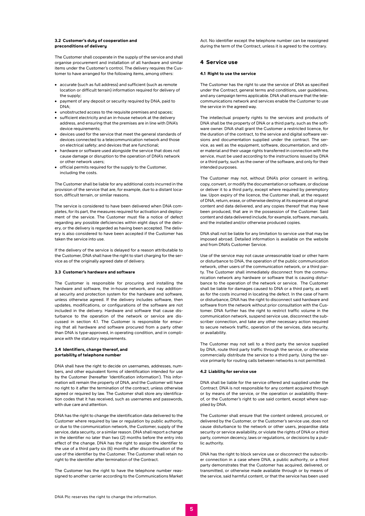#### <span id="page-4-0"></span>3.2 Customer's duty of cooperation and preconditions of delivery

The Customer shall cooperate in the supply of the service and shall organise procurement and installation of all hardware and similar items under the Customer's control. The delivery requires the Customer to have arranged for the following items, among others:

- **•** accurate (such as full address) and sufficient (such as remote location or difficult terrain) information required for delivery of the supply;
- **•** payment of any deposit or security required by DNA, paid to DNA;
- **•** unobstructed access to the requisite premises and spaces;
- **•** sufficient electricity and an in-house network at the delivery address, and ensuring that the premises are in line with DNA's device requirements;
- **•** devices used for the service that meet the general standards of devices connected to a telecommunication network and those on electrical safety; and devices that are functional;
- **•** hardware or software used alongside the service that does not cause damage or disruption to the operation of DNA's network or other network users;
- **•** official permits required for the supply to the Customer, including the costs.

The Customer shall be liable for any additional costs incurred in the provision of the service that are, for example, due to a distant location, difficult terrain, or similar reasons.

The service is considered to have been delivered when DNA completes, for its part, the measures required for activation and deployment of the service. The Customer must file a notice of defect regarding any possible deficiencies within eight days of the delivery, or the delivery is regarded as having been accepted. The delivery is also considered to have been accepted if the Customer has taken the service into use.

If the delivery of the service is delayed for a reason attributable to the Customer, DNA shall have the right to start charging for the service as of the originally agreed date of delivery.

#### 3.3 Customer's hardware and software

The Customer is responsible for procuring and installing the hardware and software, the in-house network, and nay additional security and protection system for the hardware and software, unless otherwise agreed. If the delivery includes software, then updates, modifications, or configurations of the software are not included in the delivery. Hardware and software that cause disturbance to the operation of the network or service are discussed in section 4.1. The Customer is responsible for ensuring that all hardware and software procured from a party other than DNA is type-approved, in operating condition, and in compliance with the statutory requirements.

#### 3.4 Identifiers, change thereof, and portability of telephone number

DNA shall have the right to decide on usernames, addresses, numbers, and other equivalent forms of identification intended for use by the Customer (hereafter 'Identification information'). This information will remain the property of DNA, and the Customer will have no right to it after the termination of the contract, unless otherwise agreed or required by law. The Customer shall store any identification codes that it has received, such as usernames and passwords, with due care and attention.

DNA has the right to change the identification data delivered to the Customer where required by law or regulation by public authority, or due to the communication network, the Customer, supply of the service, data security, or a similar reason. DNA shall report a change in the identifier no later than two (2) months before the entry into effect of the change. DNA has the right to assign the identifier to the use of a third party six (6) months after discontinuation of the use of the identifier by the Customer. The Customer shall retain no right to the identifier after termination of the Contract.

The Customer has the right to have the telephone number reassigned to another carrier according to the Communications Market Act. No identifier except the telephone number can be reassigned during the term of the Contract, unless it is agreed to the contrary.

## 4 Service use

#### 4.1 Right to use the service

The Customer has the right to use the service of DNA as specified under the Contract, general terms and conditions, user guidelines and any campaign terms applicable. DNA shall ensure that the telecommunications network and services enable the Customer to use the service in the agreed way.

The intellectual property rights to the services and products of DNA shall be the property of DNA or a third party, such as the software owner. DNA shall grant the Customer a restricted licence, for the duration of the contract, to the service and digital software versions and documentation supplied under the contract. The service, as well as the equipment, software, documentation, and other material and their usage rights transferred in connection with the service, must be used according to the instructions issued by DNA or a third party, such as the owner of the software, and only for their intended purposes.

The Customer may not, without DNA's prior consent in writing, copy, convert, or modify the documentation or software, or disclose or deliver it to a third party, except where required by peremptory law. Upon expiry of the licence, the Customer shall, at the request of DNA, return, erase, or otherwise destroy at its expense all original content and data delivered, and any copies thereof that may have been produced, that are in the possession of the Customer. Said content and data delivered include, for example, software, manuals, and the installed and/or otherwise produced copies.

DNA shall not be liable for any limitation to service use that may be imposed abroad. Detailed information is available on the website and from DNA's Customer Service.

Use of the service may not cause unreasonable load or other harm or disturbance to DNA, the operation of the public communication network, other users of the communication network, or a third party. The Customer shall immediately disconnect from the communication network any hardware or software that is causing disturbance to the operation of the network or service. The Customer shall be liable for damages caused to DNA or a third party, as well as for the costs incurred in locating the defect. In the case of harm or disturbance, DNA has the right to disconnect said hardware and software from the network without prior consultation with the Customer. DNA further has the right to restrict traffic volume in the communication network, suspend service use, disconnect the subscriber connection, and take any other necessary action required to secure network traffic, operation of the services, data security, or availability.

The Customer may not sell to a third party the service supplied by DNA, route third party traffic through the service, or otherwise commercially distribute the service to a third party. Using the service primarily for routing calls between networks is not permitted.

## 4.2 Liability for service use

DNA shall be liable for the service offered and supplied under the Contract. DNA is not responsible for any content acquired through or by means of the service, or the operation or availability thereof, or the Customer's right to use said content, except where supplied by DNA.

The Customer shall ensure that the content ordered, procured, or delivered by the Customer, or the Customer's service use, does not cause disturbance to the network or other users, jeopardise data security or service availability, or violate the rights of DNA or a third party, common decency, laws or regulations, or decisions by a public authority.

DNA has the right to block service use or disconnect the subscriber connection in a case where DNA, a public authority, or a third party demonstrates that the Customer has acquired, delivered, or transmitted, or otherwise made available through or by means of the service, said harmful content, or that the service has been used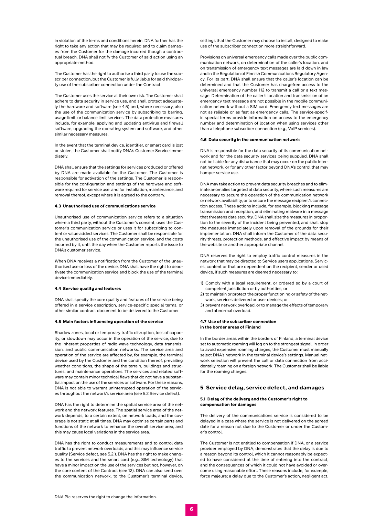<span id="page-5-0"></span>in violation of the terms and conditions herein. DNA further has the right to take any action that may be required and to claim damages from the Customer for the damage incurred though a contractual breach. DNA shall notify the Customer of said action using an appropriate method.

The Customer has the right to authorise a third party to use the subscriber connection, but the Customer is fully liable for said thirdparty use of the subscriber connection under the Contract.

The Customer uses the service at their own risk. The Customer shall adhere to data security in service use, and shall protect adequately the hardware and software (see 4.5) and, where necessary, also the use of the communication service by subscribing to barring, usage limit, or balance limit services. The data protection measures include, for example, applying and updating antivirus and firewall software, upgrading the operating system and software, and other similar necessary measures.

In the event that the terminal device, identifier, or smart card is lost or stolen, the Customer shall notify DNA's Customer Service immediately.

DNA shall ensure that the settings for services produced or offered by DNA are made available for the Customer. The Customer is responsible for activation of the settings. The Customer is responsible for the configuration and settings of the hardware and software required for service use, and for installation, maintenance, and removal thereof, except where it is agreed to the contrary.

#### 4.3 Unauthorised use of communications service

Unauthorised use of communication service refers to a situation where a third party, without the Customer's consent, uses the Customer's communication service or uses it for subscribing to content or value added services. The Customer shall be responsible for the unauthorised use of the communication service, and the costs incurred by it, until the day when the Customer reports the issue to DNA's customer service.

When DNA receives a notification from the Customer of the unauthorised use or loss of the device, DNA shall have the right to deactivate the communication service and block the use of the terminal device immediately.

#### 4.4 Service quality and features

DNA shall specify the core quality and features of the service being offered in a service description, service-specific special terms, or other similar contract document to be delivered to the Customer.

#### 4.5 Main factors influencing operation of the service

Shadow zones, local or temporary traffic disruption, loss of capacity, or slowdown may occur in the operation of the service, due to the inherent properties of radio-wave technology, data transmission, and public communication networks. The service area and operation of the service are affected by, for example, the terminal device used by the Customer and the condition thereof, prevailing weather conditions, the shape of the terrain, buildings and structures, and maintenance operations. The services and related software may contain minor technical flaws that do not have a substantial impact on the use of the services or software. For these reasons, DNA is not able to warrant uninterrupted operation of the services throughout the network's service area (see 5.2 Service defect).

DNA has the right to determine the spatial service area of the network and the network features. The spatial service area of the network depends, to a certain extent, on network loads, and the coverage is not static at all times. DNA may optimise certain parts and functions of the network to enhance the overall service area, and this may cause local variations in the service area.

DNA has the right to conduct measurements and to control data traffic to prevent network overloads, and this may influence service quality (Service defect, see 5.2.). DNA has the right to make changes to the services and the smart card (e.g., SIM technology) that have a minor impact on the use of the services but not, however, on the core content of the Contract (see 12). DNA can also send over the communication network, to the Customer's terminal device,

settings that the Customer may choose to install, designed to make use of the subscriber connection more straightforward.

Provisions on universal emergency calls made over the public communication network, on determination of the caller's location, and on transmission of emergency text messages are laid down in law and in the Regulation of Finnish Communications Regulatory Agency. For its part, DNA shall ensure that the caller's location can be determined and that the Customer has chargefree access to the universal emergency number 112 to transmit a call or a text message. Determination of the caller's location and transmission of an emergency text message are not possible in the mobile communication network without a SIM card. Emergency text messages are not as reliable or as fast as emergency calls. The service-specific special terms provide information on access to the emergency number and determination of location when using services other than a telephone subscriber connection (e.g., VoIP services).

#### 4.6 Data security in the communication network

DNA is responsible for the data security of its communication network and for the data security services being supplied. DNA shall not be liable for any disturbance that may occur on the public Internet network, or for any other factor beyond DNA's control that may hamper service use.

DNA may take action to prevent data security breaches and to eliminate anomalies targeted at data security, where such measures are necessary to secure the operation of the communication network or network availability, or to secure the message recipient's connection access. These actions include, for example, blocking message transmission and reception, and eliminating malware in a message that threatens data security. DNA shall size the measures in proportion to the severity of the incident being prevented, and shall stop the measures immediately upon removal of the grounds for their implementation. DNA shall inform the Customer of the data security threats, protection methods, and effective impact by means of the website or another appropriate channel.

DNA reserves the right to employ traffic control measures in the network that may be directed to Service users applications, Services, content or that are dependent on the recipient, sender or used device, if such measures are deemed necessary to:

- 1) Comply with a legal requirement, or ordered so by a court of competent jurisdiction or by authorities; or
- 2) to maintain or protect the proper functioning or safety of the network, services delivered or user devices; or
- 3) prevent network overload, or to manage the effects of temporary and abnormal overload.

#### 4.7 Use of the subscriber connection in the border areas of Finland

In the border areas within the borders of Finland, a terminal device set to automatic roaming will log on to the strongest signal. In order to avoid expensive roaming charges, the Customer must manually select DNA's network in the terminal device's settings. Manual network selection will prevent the call or data connection from accidentally roaming on a foreign network. The Customer shall be liable for the roaming charges.

#### 5 Service delay, service defect, and damages

#### 5.1 Delay of the delivery and the Customer's right to compensation for damages

The delivery of the communications service is considered to be delayed in a case where the service is not delivered on the agreed date for a reason not due to the Customer or under the Customer's control.

The Customer is not entitled to compensation if DNA, or a service provider employed by DNA, demonstrates that the delay is due to a reason beyond its control, which it cannot reasonably be expected to have considered at the time of entering into the contract, and the consequences of which it could not have avoided or overcome using reasonable effort. These reasons include, for example, force majeure; a delay due to the Customer's action, negligent act,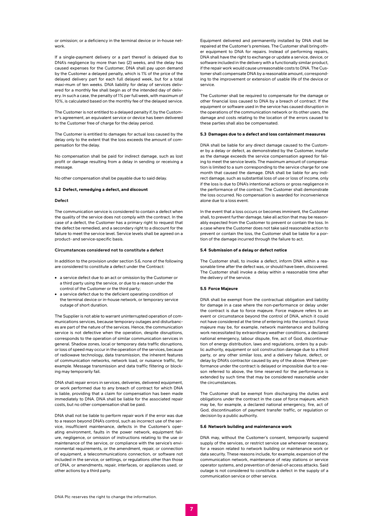<span id="page-6-0"></span>or omission; or a deficiency in the terminal device or in-house network.

If a single-payment delivery or a part thereof is delayed due to DNA's negligence by more than two (2) weeks, and the delay has caused expenses for the Customer, DNA shall pay upon demand by the Customer a delayed penalty, which is 1% of the price of the delayed delivery part for each full delayed week, but for a total maxi-mum of ten weeks. DNA liability for delay of services delivered for a monthly fee shall begin as of the intended day of delivery. In such a case, the penalty of 1% per full week, with maximum of 10%, is calculated based on the monthly fee of the delayed service.

The Customer is not entitled to a delayed penalty if, by the Customer's agreement, an equivalent service or device has been delivered to the Customer free of charge for the delay period.

The Customer is entitled to damages for actual loss caused by the delay only to the extent that the loss exceeds the amount of compensation for the delay.

No compensation shall be paid for indirect damage, such as lost profit or damage resulting from a delay in sending or receiving a message.

No other compensation shall be payable due to said delay.

#### 5.2 Defect, remedying a defect, and discount

#### **Defect**

The communication service is considered to contain a defect when the quality of the service does not comply with the contract. In the case of a defect, the Customer has a primary right to request that the defect be remedied, and a secondary right to a discount for the failure to meet the service level. Service levels shall be agreed on a product- and service-specific basis.

#### **Circumstances considered not to constitute a defect**

In addition to the provision under section 5.6, none of the following are considered to constitute a defect under the Contract:

- **•** a service defect due to an act or omission by the Customer or a third party using the service, or due to a reason under the control of the Customer or the third party;
- **•** a service defect due to the deficient operating condition of the terminal device or in-house network, or temporary service outage of short duration.

The Supplier is not able to warrant uninterrupted operation of communications services, because temporary outages and disturbances are part of the nature of the services. Hence, the communication service is not defective when the operation, despite disruptions, corresponds to the operation of similar communication services in general. Shadow zones, local or temporary data traffic disruptions, or loss of speed may occur in the operation of the services, because of radiowave technology, data transmission, the inherent features of communication networks, network load, or nuisance traffic, for example. Message transmission and data traffic filtering or blocking may temporarily fail.

DNA shall repair errors in services, deliveries, delivered equipment, or work performed due to any breach of contract for which DNA is liable, providing that a claim for compensation has been made immediately to DNA. DNA shall be liable for the associated repair costs, but no other compensation shall be paid.

DNA shall not be liable to perform repair work if the error was due to a reason beyond DNA's control, such as incorrect use of the service, insufficient maintenance, defects in the Customer's operating environment, faults in the power network, equipment failure, negligence, or omission of instructions relating to the use or maintenance of the service, or compliance with the service's environmental requirements, or the amendment, repair, or connection of equipment, a telecommunications connection, or software not included in the service, or settings, or regulations other than those of DNA, or amendments, repair, interfaces, or appliances used, or other actions by a third party.

Equipment delivered and permanently installed by DNA shall be repaired at the Customer's premises. The Customer shall bring other equipment to DNA for repairs. Instead of performing repairs, DNA shall have the right to exchange or update a service, device, or software included in the delivery with a functionally similar product if the repair work would cause unreasonable costs to DNA. The Customer shall compensate DNA by a reasonable amount, corresponding to the improvement or extension of usable life of the device or service.

The Customer shall be required to compensate for the damage or other financial loss caused to DNA by a breach of contract. If the equipment or software used in the service has caused disruption in the operations of the communication network or its other users, the damage and costs relating to the location of the errors caused to these parties shall also be compensated.

#### 5.3 Damages due to a defect and loss containment measures

DNA shall be liable for any direct damage caused to the Customer by a delay or defect, as demonstrated by the Customer, insofar as the damage exceeds the service compensation agreed for failing to meet the service levels. The maximum amount of compensation is limited to a sum corresponding to the service charge for one month that caused the damage. DNA shall be liable for any indirect damage, such as substantial loss of use or loss of income, only if the loss is due to DNA's intentional actions or gross negligence in the performance of the contract. The Customer shall demonstrate the loss occurred. No compensation is awarded for inconvenience alone due to a loss event.

In the event that a loss occurs or becomes imminent, the Customer shall, to prevent further damage, take all action that may be reasonably expected from the Customer to prevent or contain the loss. In a case where the Customer does not take said reasonable action to prevent or contain the loss, the Customer shall be liable for a portion of the damage incurred through the failure to act.

#### 5.4 Submission of a delay or defect notice

The Customer shall, to invoke a defect, inform DNA within a reasonable time after the defect was, or should have been, discovered. The Customer shall invoke a delay within a reasonable time after the delivery of the service.

#### 5.5 Force Majeure

DNA shall be exempt from the contractual obligation and liability for damage in a case where the non-performance or delay under the contract is due to force majeure. Force majeure refers to an event or circumstance beyond the control of DNA, which it could not have considered at the time of entering into the contract. Force majeure may be, for example, network maintenance and building work necessitated by extraordinary weather conditions, a declared national emergency, labour dispute, fire, act of God, discontinuation of energy distribution, laws and regulations, orders by a public authority, equipment or soil construction damage due to a third party, or any other similar loss, and a delivery failure, defect, or delay by DNA's contractor caused by any of the above. Where performance under the contract is delayed or impossible due to a reason referred to above, the time reserved for the performance is extended by such time that may be considered reasonable under the circumstances.

The Customer shall be exempt from discharging the duties and obligations under the contract in the case of force majeure, which may be, for example, a declared national emergency, fire, act of God, discontinuation of payment transfer traffic, or regulation or decision by a public authority.

# 5.6 Network building and maintenance work

DNA may, without the Customer's consent, temporarily suspend supply of the services, or restrict service use whenever necessary, for a reason related to network building or maintenance work or data security. These reasons include, for example, expansion of the communication network, maintenance of relay stations or service operator systems, and prevention of denial-of-access attacks. Said outage is not considered to constitute a defect in the supply of a communication service or other service.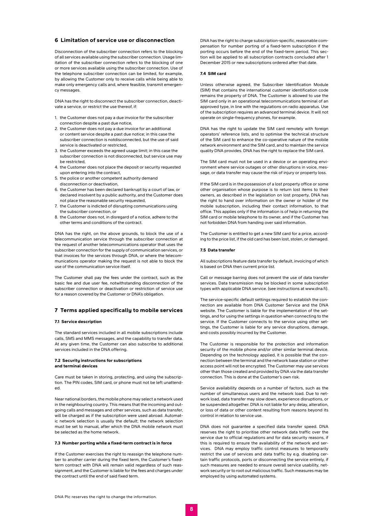# <span id="page-7-0"></span>6 Limitation of service use or disconnection

Disconnection of the subscriber connection refers to the blocking of all services available using the subscriber connection. Usage limitation of the subscriber connection refers to the blocking of one or more services available using the subscriber connection. Use of the telephone subscriber connection can be limited, for example, by allowing the Customer only to receive calls while being able to make only emergency calls and, where feasible, transmit emergency messages.

DNA has the right to disconnect the subscriber connection, deactivate a service, or restrict the use thereof, if:

- 1. the Customer does not pay a due invoice for the subscriber connection despite a past due notice,
- 2. the Customer does not pay a due invoice for an additional or content service despite a past due notice; in this case the subscriber connection is notdisconnected, but the use of said service is deactivated or restricted,
- 3. the Customer exceeds the agreed usage limit; in this case the subscriber connection is not disconnected, but service use may be restricted,
- 4. the Customer does not place the deposit or security requested upon entering into the contract,
- 5. the police or another competent authority demand disconnection or deactivation,
- 6. the Customer has been declared bankrupt by a court of law, or declared insolvent by a public authority, and the Customer does not place the reasonable security requested,
- 7. the Customer is indicted of disrupting communications using the subscriber connection, or
- 8. the Customer does not, in disregard of a notice, adhere to the other terms and conditions of the contract.

DNA has the right, on the above grounds, to block the use of a telecommunication service through the subscriber connection at the request of another telecommunications operator that uses the subscriber connection for the supply of communication services, or that invoices for the services through DNA, or where the telecommunications operator making the request is not able to block the use of the communication service itself.

The Customer shall pay the fees under the contract, such as the basic fee and due user fee, notwithstanding disconnection of the subscriber connection or deactivation or restriction of service use for a reason covered by the Customer or DNA's obligation.

# 7 Terms applied specifically to mobile services

#### 7.1 Service description

The standard services included in all mobile subscriptions include calls, SMS and MMS messages, and the capability to transfer data. At any given time, the Customer can also subscribe to additional services included in the DNA offering.

#### 7.2 Security instructions for subscriptions and terminal devices

Care must be taken in storing, protecting, and using the subscription. The PIN codes, SIM card, or phone must not be left unattended.

Near national borders, the mobile phone may select a network used in the neighbouring country. This means that the incoming and outgoing calls and messages and other services, such as data transfer, will be charged as if the subscription were used abroad. Automatic network selection is usually the default; the network selection must be set to manual, after which the DNA mobile network must be selected as the home network.

#### 7.3 Number porting while a fixed-term contract is in force

If the Customer exercises the right to reassign the telephone number to another carrier during the fixed term, the Customer's fixedterm contract with DNA will remain valid regardless of such reassignment, and the Customer is liable for the fees and charges under the contract until the end of said fixed term.

DNA has the right to charge subscription-specific, reasonable compensation for number porting of a fixed-term subscription if the porting occurs before the end of the fixed-term period. This section will be applied to all subscription contracts concluded after 1 December 2015 or new subscriptions ordered after that date.

#### 7.4 SIM card

Unless otherwise agreed, the Subscriber Identification Module (SIM) that contains the international customer identification code remains the property of DNA. The Customer is allowed to use the SIM card only in an operational telecommunications terminal of an approved type, in line with the regulations on radio apparatus. Use of the subscription requires an advanced terminal device. It will not operate on single-frequency phones, for example.

DNA has the right to update the SIM card remotely with foreign operators' reference lists, and to optimise the technical structure of the SIM card to enhance the co-operative nature of the mobile network environment and the SIM card, and to maintain the service quality DNA provides. DNA has the right to replace the SIM card.

The SIM card must not be used in a device or an operating environment where service outages or other disruptions in voice, message, or data transfer may cause the risk of injury or property loss.

If the SIM card is in the possession of a lost property office or some other organisation whose purpose is to return lost items to their owners, as described in the legislation on lost property, DNA has the right to hand over information on the owner or holder of the mobile subscription, including their contact information, to that office. This applies only if the information is of help in returning the SIM card or mobile telephone to its owner, and if the Customer has not forbidden DNA from handing over said information.

The Customer is entitled to get a new SIM card for a price, according to the price list, if the old card has been lost, stolen, or damaged.

#### 7.5 Data transfer

All subscriptions feature data transfer by default, invoicing of which is based on DNA then current price list.

Call or message barring does not prevent the use of data transfer services. Data transmission may be blocked in some subscription types with applicable DNA service. (see instructions at www.dna.fi).

The service-specific default settings required to establish the connection are available from DNA Customer Service and the DNA website. The Customer is liable for the implementation of the settings, and for using the settings in question when connecting to the service. If the Customer connects to the service using other settings, the Customer is liable for any service disruptions, damage, and costs possibly incurred by the Customer.

The Customer is responsible for the protection and information security of the mobile phone and/or other similar terminal device. Depending on the technology applied, it is possible that the connection between the terminal and the network base station or other access point will not be encrypted. The Customer may use services other than those created and provided by DNA via the data transfer connection. This is done at the Customer's own risk.

Service availability depends on a number of factors, such as the number of simultaneous users and the network load. Due to network load, data transfer may slow down, experience disruptions, or be suspended altogether. DNA is not liable for any delay, alteration, or loss of data or other content resulting from reasons beyond its control in relation to service use.

DNA does not guarantee a specified data transfer speed. DNA reserves the right to prioritise other network data traffic over the service due to official regulations and for data security reasons, if this is required to ensure the availability of the network and services. DNA may employ traffic control measures to temporarily restrict the use of services and data traffic by e.g. disabling certain traffic protocols, ports or disconnecting the service entirely, if such measures are needed to ensure overall service usability, network security or to root out malicious traffic. Such measures may be employed by using automated systems.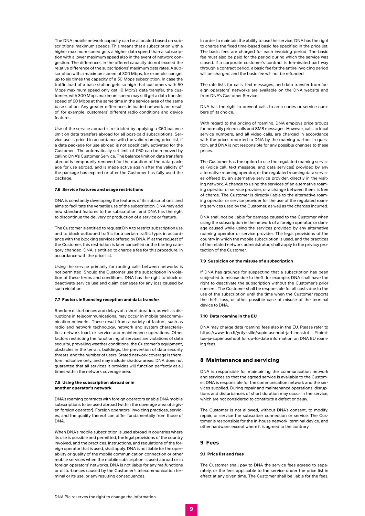<span id="page-8-0"></span>The DNA mobile network capacity can be allocated based on subscriptions' maximum speeds. This means that a subscription with a higher maximum speed gets a higher data speed than a subscription with a lower maximum speed also in the event of network congestion. The differences in the offered capacity do not exceed the relative difference of the subscriptions' maximum data rates. A subscription with a maximum speed of 300 Mbps, for example, can get up to six times the capacity of a 50 Mbps subscription. In case the traffic load of a base station gets so high that customers with 50 Mbps maximum speed only get 10 Mbit/s data transfer, the customers with 300 Mbps maximum speed may still get a data transfer speed of 60 Mbps at the same time in the service area of the same base station. Any greater differences in loaded network are result of, for example, customers' different radio conditions and device features.

Use of the service abroad is restricted by applying a €60 balance limit on data transfers abroad for all post-paid subscriptions. Service use is priced in accordance with the valid roaming price list, if a data package for use abroad is not specifically activated for the Customer. The automatically set limit of €60 can be removed by calling DNA's Customer Service. The balance limit on data transfers abroad is temporarily removed for the duration of the data package for use abroad, and is made active again after the validity of the package has expired or after the Customer has fully used the package.

#### 7.6 Service features and usage restrictions

DNA is constantly developing the features of its subscriptions, and aims to facilitate the versatile use of the subscription. DNA may add new standard features to the subscription, and DNA has the right to discontinue the delivery or production of a service or feature.

The Customer is entitled to request DNA to restrict subscription use and to block outbound traffic for a certain traffic type, in accordance with the blocking services offered by DNA. If, at the request of the Customer, this restriction is later cancelled or the barring category changed, DNA is entitled to charge a fee for this procedure, in accordance with the price list.

Using the service primarily for routing calls between networks is not permitted. Should the Customer use the subscription in violation of these terms and conditions, DNA has the right to block or deactivate service use and claim damages for any loss caused by such violation.

#### 7.7 Factors influencing reception and data transfer

Random disturbances and delays of a short duration, as well as disruptions in telecommunications, may occur in mobile telecommunication networks. These result from a variety of factors, such as radio and network technology, network and system characteristics, network load, or service and maintenance operations. Other factors restricting the functioning of services are violations of data security, prevailing weather conditions, the Customer's equipment, obstacles in the terrain, buildings, the prevention of data security threats, and the number of users. Stated network coverage is therefore indicative only, and may include shadow areas. DNA does not guarantee that all services it provides will function perfectly at all times within the network coverage area.

#### 7.8 Using the subscription abroad or in another operator's network

DNA's roaming contracts with foreign operators enable DNA mobile subscriptions to be used abroad (within the coverage area of a given foreign operator). Foreign operators' invoicing practices, services, and the quality thereof can differ fundamentally from those of DNA.

When DNA's mobile subscription is used abroad in countries where its use is possible and permitted, the legal provisions of the country involved, and the practices, instructions, and regulations of the foreign operator that is used, shall apply. DNA is not liable for the operability or quality of the mobile communication connection or other mobile services when the mobile subscription is used abroad or in foreign operators' networks. DNA is not liable for any malfunctions or disturbances caused by the Customer's telecommunication terminal or its use, or any resulting consequences.

In order to maintain the ability to use the service. DNA has the right to charge the fixed time-based basic fee specified in the price list. The basic fees are charged for each invoicing period. The basic fee must also be paid for the period during which the service was closed. If a corporate customer's contract is terminated part way through a contract period, a basic fee for the entire invoicing period will be charged, and the basic fee will not be refunded.

The rate lists for calls, text messages, and data transfer from foreign operators' networks are available on the DNA website and from DNA's Customer Service.

DNA has the right to prevent calls to area codes or service numbers of its choice.

With regard to the pricing of roaming, DNA employs price groups for normally priced calls and SMS messages. However, calls to local service numbers, and all video calls, are charged in accordance with the prices reported to DNA by the roaming partner in question, and DNA is not responsible for any possible changes to these prices

The Customer has the option to use the regulated roaming services (voice call, text message, and data services) provided by any alternative roaming operator, or the regulated roaming data services offered by an alternative service provider, directly in the visiting network. A change to using the services of an alternative roaming operator or service provider, or a change between them, is free of charge. The Customer is directly liable to the alternative roaming operator or service provider for the use of the regulated roaming services used by the Customer, as well as the charges incurred.

DNA shall not be liable for damage caused to the Customer when using the subscription in the network of a foreign operator, or damage caused while using the services provided by any alternative roaming operator or service provider. The legal provisions of the country in which the mobile subscription is used, and the practices of the related network administrator, shall apply to the privacy protection of the Customer.

#### 7.9 Suspicion on the misuse of a subscription

If DNA has grounds for suspecting that a subscription has been subjected to misuse due to theft, for example, DNA shall have the right to deactivate the subscription without the Customer's prior consent. The Customer shall be responsible for all costs due to the use of the subscription until the time when the Customer reports the theft, loss, or other possible case of misuse of the terminal device to DNA.

#### 7.10 Data roaming in the EU

DNA may charge data roaming fees also in the EU. Please refer to https://www.dna.fi/yrityksille/sopimusehdot-ja-hinnastot #toimitus-ja-sopimusehdot for up-to-date information on DNA EU roaming fees.

#### 8 Maintenance and servicing

DNA is responsible for maintaining the communication network and services so that the agreed service is available to the Customer. DNA is responsible for the communication network and the services supplied. During repair and maintenance operations, disruptions and disturbances of short duration may occur in the service, which are not considered to constitute a defect or delay.

The Customer is not allowed, without DNA's consent, to modify, repair, or service the subscriber connection or service. The Customer is responsible for the in-house network, terminal device, and other hardware, except where it is agreed to the contrary.

#### 9 Fees

#### 9.1 Price list and fees

The Customer shall pay to DNA the service fees agreed to separately, or the fees applicable to the service under the price list in effect at any given time. The Customer shall be liable for the fees,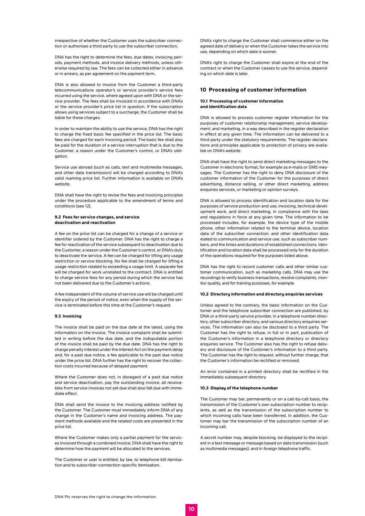<span id="page-9-0"></span>irrespective of whether the Customer uses the subscriber connection or authorises a third party to use the subscriber connection.

DNA has the right to determine the fees, due dates, invoicing periods, payment methods, and invoice delivery methods, unless otherwise required by law. The fees can be collected either in advance or in arrears, as per agreement on the payment term.

DNA is also allowed to invoice from the Customer a third-party telecommunications operator's or service provider's service fees incurred using the service, where agreed upon with DNA or the service provider. The fees shall be invoiced in accordance with DNA's or the service provider's price list in question. If the subscription allows using services subject to a surcharge, the Customer shall be liable for these charges.

In order to maintain the ability to use the service, DNA has the right to charge the fixed basic fee specified in the price list. The basic fees are charged for each invoicing period. The basic fee shall also be paid for the duration of a service interruption that is due to the Customer, a reason under the Customer's control, or DNA's obligation.

Service use abroad (such as calls, text and multimedia messages, and other data transmission) will be charged according to DNA's valid roaming price list. Further information is available on DNA's website.

DNA shall have the right to revise the fees and invoicing principles under the procedure applicable to the amendment of terms and conditions (see 12).

#### 9.2 Fees for service changes, and service deactivation and reactivation

A fee on the price list can be charged for a change of a service or identifier ordered by the Customer. DNA has the right to charge a fee for reactivation of the service subsequent to deactivation due to the Customer, a reason under the Customer's control, or DNA's duty to deactivate the service. A fee can be charged for lifting any usage restriction or service blocking. No fee shall be charged for lifting a usage restriction related to exceeding a usage limit. A separate fee will be charged for work unrelated to the contract. DNA is entitled to charge service fees for any period during which the service has not been delivered due to the Customer's actions.

A fee independent of the volume of service use will be charged until the expiry of the period of notice, even when the supply of the service is terminated before this time at the Customer's request.

#### 9.3 Invoicing

The invoice shall be paid on the due date at the latest, using the information on the invoice. The invoice complaint shall be submitted in writing before the due date, and the indisputable portion of the invoice shall be paid by the due date. DNA has the right to charge penalty interest under the Interest Act on the payment delay and, for a past due notice, a fee applicable to the past due notice under the price list. DNA further has the right to recover the collection costs incurred because of delayed payment.

Where the Customer does not, in disregard of a past due notice and service deactivation, pay the outstanding invoice, all receivables from service invoices not yet due shall also fall due with immediate effect.

DNA shall send the invoice to the invoicing address notified by the Customer. The Customer must immediately inform DNA of any change in the Customer's name and invoicing address. The payment methods available and the related costs are presented in the price list.

Where the Customer makes only a partial payment for the services invoiced through a combined invoice, DNA shall have the right to determine how the payment will be allocated to the services.

The Customer or user is entitled, by law, to telephone bill itemisation and to subscriber-connection-specific itemisation.

DNA's right to charge the Customer shall commence either on the agreed date of delivery or when the Customer takes the service into use, depending on which date is sooner.

DNA's right to charge the Customer shall expire at the end of the contract or when the Customer ceases to use the service, depending on which date is later.

# 10 Processing of customer information

#### 10.1 Processing of customer information and identification data

DNA is allowed to process customer register information for the purposes of customer relationship management, service development, and marketing, in a way described in the register declaration in effect at any given time. The information can be delivered to a third party under the statutory requirements. The register declarations and principles applicable to protection of privacy are available on DNA's website.

DNA shall have the right to send direct marketing messages to the Customer in electronic format, for example as e-mails or SMS messages. The Customer has the right to deny DNA disclosure of the customer information of the Customer for the purposes of direct advertising, distance selling, or other direct marketing, address enquiries services, or marketing or opinion surveys.

DNA is allowed to process identification and location data for the purposes of service production and use, invoicing, technical development work, and direct marketing, in compliance with the laws and regulations in force at any given time. The information to be processed includes, for example, the device type of the mobile phone, other information related to the terminal device, location data of the subscriber connection, and other identification data elated to communication and service use, such as subscriber numbers, and the times and durations of established connections. Identification and location data shall be processed only for the duration of the operations required for the purposes listed above.

DNA has the right to record customer calls and other similar customer communication, such as marketing calls. DNA may use the recordings to verify business transactions, resolve complaints, monitor quality, and for training purposes, for example.

# 10.2 Directory information and directory enquiries services

Unless agreed to the contrary, the basic information on the Customer and the telephone subscriber connection are published, by DNA or a third-party service provider, in a telephone number directory, other subscriber directory, and various directory enquiries services. The information can also be disclosed to a third party. The Customer has the right to refuse, in full or in part, publication of the Customer's information in a telephone directory or directory enquiries service. The Customer also has the right to refuse delivery and disclosure of the Customer's information to a third party. The Customer has the right to request, without further charge, that the Customer's information be rectified or removed.

An error contained in a printed directory shall be rectified in the immediately subsequent directory

#### 10.3 Display of the telephone number

The Customer may bar, permanently or on a call-by-call basis, the transmission of the Customer's own subscription number to recipients, as well as the transmission of the subscription number to which incoming calls have been transferred. In addition, the Customer may bar the transmission of the subscription number of an incoming call.

A secret number may, despite blocking, be displayed to the recipient in a text message or message based on data transmission (such as multimedia messages), and in foreign telephone traffic.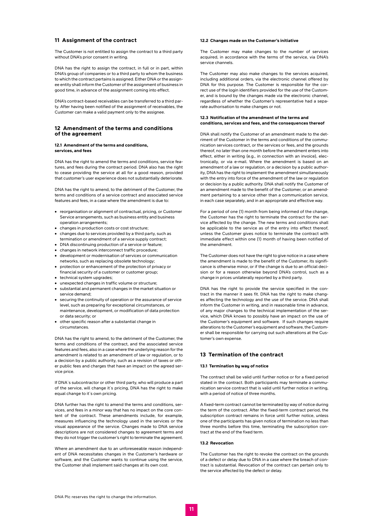# <span id="page-10-0"></span>11 Assignment of the contract

The Customer is not entitled to assign the contract to a third party without DNA's prior consent in writing.

DNA has the right to assign the contract, in full or in part, within DNA's group of companies or to a third party to whom the business to which the contract pertains is assigned. Either DNA or the assignee entity shall inform the Customer of the assignment of business in good time, in advance of the assignment coming into effect.

DNA's contract-based receivables can be transferred to a third party. After having been notified of the assignment of receivables, the Customer can make a valid payment only to the assignee.

# 12 Amendment of the terms and conditions of the agreement

#### 12.1 Amendment of the terms and conditions, services, and fees

DNA has the right to amend the terms and conditions, service features, and fees during the contract period. DNA also has the right to cease providing the service at all for a good reason, provided that customer's user experience does not substantially deteriorate.

DNA has the right to amend, to the detriment of the Customer, the terms and conditions of a service contract and associated service features and fees, in a case where the amendment is due to:

- **•** reorganisation or alignment of contractual, pricing, or Customer Service arrangements, such as business entity and business operation arrangements;
- **•** changes in production costs or cost structure;
- **•** changes due to services provided by a third party, such as termination or amendment of a service supply contract;
- **•** DNA discontinuing production of a service or feature;
- **•** changes in network interconnect traffic procedure;
- **•** development or modernisation of services or communication networks, such as replacing obsolete technology;
- **•** protection or enhancement of the protection of privacy or financial security of a customer or customer group;
- **•** technical system upgrades;
- **•** unexpected changes in traffic volume or structure;
- **•** substantial and permanent changes in the market situation or service demand;
- **•** securing the continuity of operation or the assurance of service level, such as preparing for exceptional circumstances, or maintenance, development, or modification of data protection or data security; or
- **•** other specific reason after a substantial change in circumstances.

DNA has the right to amend, to the detriment of the Customer, the terms and conditions of the contract, and the associated service features and fees, also in a case where the underlying reason for the amendment is related to an amendment of law or regulation, or to a decision by a public authority, such as a revision of taxes or other public fees and charges that have an impact on the agreed service price.

If DNA`s subcontractor or other third party, who will produce a part of the service, will change it`s pricing, DNA has the right to make equal change to it's own pricing.

DNA further has the right to amend the terms and conditions, services, and fees in a minor way that has no impact on the core content of the contract. These amendments include, for example, measures influencing the technology used in the services or the visual appearance of the service. Changes made to DNA service descriptions are not considered changes to agreement terms and they do not trigger the customer's right to terminate the agreement.

Where an amendment due to an unforeseeable reason independent of DNA necessitates changes in the Customer's hardware or software, and the Customer wants to continue using the service, the Customer shall implement said changes at its own cost.

#### 12.2 Changes made on the Customer's initiative

The Customer may make changes to the number of services acquired, in accordance with the terms of the service, via DNA's service channels.

The Customer may also make changes to the services acquired, including additional orders, via the electronic channel offered by DNA for this purpose. The Customer is responsible for the correct use of the login identifiers provided for the use of the Customer, and is bound by the changes made via the electronic channel, regardless of whether the Customer's representative had a separate authorisation to make changes or not.

#### 12.3 Notification of the amendment of the terms and conditions, services and fees, and the consequences thereof

DNA shall notify the Customer of an amendment made to the detriment of the Customer in the terms and conditions of the communication services contract, or the services or fees, and the grounds thereof, no later than one month before the amendment enters into effect, either in writing (e.g., in connection with an invoice), electronically, or via e-mail. Where the amendment is based on an amendment of a law or regulation, or a decision by a public authority, DNA has the right to implement the amendment simultaneously with the entry into force of the amendment of the law or regulation or decision by a public authority. DNA shall notify the Customer of an amendment made to the benefit of the Customer, or an amendment pertaining to a service other than a communication service, in each case separately, and in an appropriate and effective way.

For a period of one (1) month from being informed of the change, the Customer has the right to terminate the contract for the service affected by the change. The new terms and conditions shall be applicable to the service as of the entry into effect thereof, unless the Customer gives notice to terminate the contract with immediate effect within one (1) month of having been notified of the amendment.

The Customer does not have the right to give notice in a case where the amendment is made to the benefit of the Customer, its significance is otherwise minor, or if the change is due to an official decision or for a reason otherwise beyond DNA's control, such as a change in prices unilaterally reported by a third party.

DNA has the right to provide the service specified in the contract in the manner it sees fit. DNA has the right to make changes affecting the technology and the use of the service. DNA shall inform the Customer in writing, and in reasonable time in advance, of any major changes to the technical implementation of the service, which DNA knows to possibly have an impact on the use of the Customer's equipment and software. If such changes require alterations to the Customer's equipment and software, the Customer shall be responsible for carrying out such alterations at the Customer's own expense.

# 13 Termination of the contract

# 13.1 Termination by way of notice

The contract shall be valid until further notice or for a fixed period stated in the contract. Both participants may terminate a communication service contract that is valid until further notice in writing, with a period of notice of three months.

A fixed-term contract cannot be terminated by way of notice during the term of the contract. After the fixed-term contract period, the subscription contract remains in force until further notice, unless one of the participants has given notice of termination no less than three months before this time, terminating the subscription contract at the end of the fixed term.

#### 13.2 Revocation

The Customer has the right to revoke the contract on the grounds of a defect or delay due to DNA in a case where the breach of contract is substantial. Revocation of the contract can pertain only to the service affected by the defect or delay.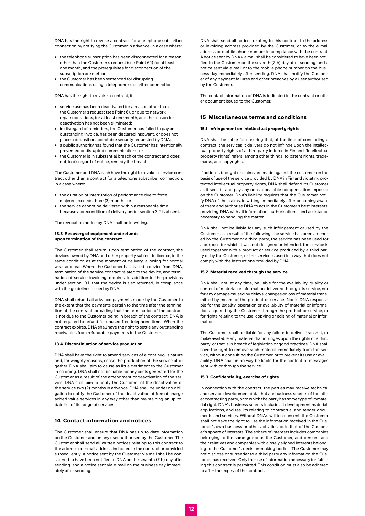<span id="page-11-0"></span>DNA has the right to revoke a contract for a telephone subscriber connection by notifying the Customer in advance, in a case where:

- **•** the telephone subscription has been disconnected for a reason other than the Customer's request (see Point 6.1) for at least one month, and the prerequisites for disconnection of the subscription are met, or
- **•** the Customer has been sentenced for disrupting communications using a telephone subscriber connection.

DNA has the right to revoke a contract, if

- **•** service use has been deactivated for a reason other than the Customer's request (see Point 6), or due to network repair operations, for at least one month, and the reason for deactivation has not been eliminated;
- **•** in disregard of reminders, the Customer has failed to pay an outstanding invoice, has been declared insolvent, or does not place a deposit or acceptable security requested by DNA;
- **•** a public authority has found that the Customer has intentionally prevented or disrupted communications, or
- **•** the Customer is in substantial breach of the contract and does not, in disregard of notice, remedy the breach.

The Customer and DNA each have the right to revoke a service contract other than a contract for a telephone subscriber connection, in a case where:

- **•** the duration of interruption of performance due to force majeure exceeds three (3) months, or
- **•** the service cannot be delivered within a reasonable time because a precondition of delivery under section 3.2 is absent.

The revocation notice by DNA shall be in writing.

#### 13.3 Recovery of equipment and refunds upon termination of the contract

The Customer shall return, upon termination of the contract, the devices owned by DNA and other property subject to licence, in the same condition as at the moment of delivery, allowing for normal wear and tear. Where the Customer has leased a device from DNA, termination of the service contract related to the device, and termination of service invoicing, requires, in addition to the provisions under section 13.1, that the device is also returned, in compliance with the guidelines issued by DNA.

DNA shall refund all advance payments made by the Customer to the extent that the payments pertain to the time after the termination of the contract, providing that the termination of the contract is not due to the Customer being in breach of the contract. DNA is not required to refund for unused free telephone time. When the contract expires, DNA shall have the right to settle any outstanding receivables from refundable payments to the Customer.

#### 13.4 Discontinuation of service production

DNA shall have the right to amend services of a continuous nature and, for weighty reasons, cease the production of the service altogether. DNA shall aim to cause as little detriment to the Customer in so doing. DNA shall not be liable for any costs generated for the Customer as a result of the amendment or deactivation of the service. DNA shall aim to notify the Customer of the deactivation of the service two (2) months in advance. DNA shall be under no obligation to notify the Customer of the deactivation of free of charge added value services in any way other than maintaining an up-todate list of its range of services.

# 14 Contact information and notices

The Customer shall ensure that DNA has up-to-date information on the Customer and on any user authorised by the Customer. The Customer shall send all written notices relating to this contract to the address or e-mail address indicated in the contract or provided subsequently. A notice sent by the Customer via mail shall be considered to have been notified to DNA on the seventh (7th) day after sending, and a notice sent via e-mail on the business day immediately after sending.

DNA shall send all notices relating to this contract to the address or invoicing address provided by the Customer, or to the e-mail address or mobile phone number in compliance with the contract. A notice sent by DNA via mail shall be considered to have been notified to the Customer on the seventh (7th) day after sending, and a notice sent via e-mail or to the mobile phone number on the business day immediately after sending. DNA shall notify the Customer of any payment failures and other breaches by a user authorised by the Customer.

The contact information of DNA is indicated in the contract or other document issued to the Customer.

# 15 Miscellaneous terms and conditions

#### 15.1 Infringement on intellectual property rights

DNA shall be liable for ensuring that, at the time of concluding a contract, the services it delivers do not infringe upon the intellectual property rights of a third party in force in Finland. 'Intellectual property rights' refers, among other things, to patent rights, trademarks, and copyrights.

If action is brought or claims are made against the customer on the basis of use of the service provided by DNA in Finland violating protected intellectual property rights, DNA shall defend its Customer as it sees fit and pay any non-appealable compensation imposed on the Customer. DNA's liability requires that the Cus-tomer notify DNA of the claims, in writing, immediately after becoming aware of them and authorise DNA to act in the Customer's best interests, providing DNA with all information, authorisations, and assistance necessary to handling the matter.

DNA shall not be liable for any such infringement caused by the Customer as a result of the following: the service has been amended by the Customer or a third party, the service has been used for a purpose for which it was not designed or intended, the service is used together with a product or service produced by a third party or by the Customer, or the service is used in a way that does not comply with the instructions provided by DNA.

#### 15.2 Material received through the service

DNA shall not, at any time, be liable for the availability, quality or content of material or information delivered through its service, nor for any damage caused by delays, changes or loss of material transmitted by means of the product or service. Nor is DNA responsible for the legality, operation or availability of material or information acquired by the Customer through the product or service, or for rights relating to the use, copying or editing of material or information.

The Customer shall be liable for any failure to deliver, transmit, or make available any material that infringes upon the rights of a third party, or that is in breach of legislation or good practices. DNA shall have the right to remove such material immediately from the service, without consulting the Customer, or to prevent its use or availability. DNA shall in no way be liable for the content of messages sent with or through the service.

#### 15.3 Confidentiality, exercise of rights

In connection with the contract, the parties may receive technical and service development data that are business secrets of the other contracting party, or to which the party has some type of immaterial right. DNA's business secrets include all development material, applications, and results relating to contractual and tender documents and services. Without DNA's written consent, the Customer shall not have the right to use the information received in the Customer's own business or other activities, or in that of the Customer's sphere of interests. The sphere of interests includes companies belonging to the same group as the Customer, and persons and their relatives and companies with closely aligned interests belonging to the Customer's decision-making bodies. The Customer may not disclose or surrender to a third party any information the Customer has received. Only the use of information necessary for fulfilling this contract is permitted. This condition must also be adhered to after the expiry of the contract.